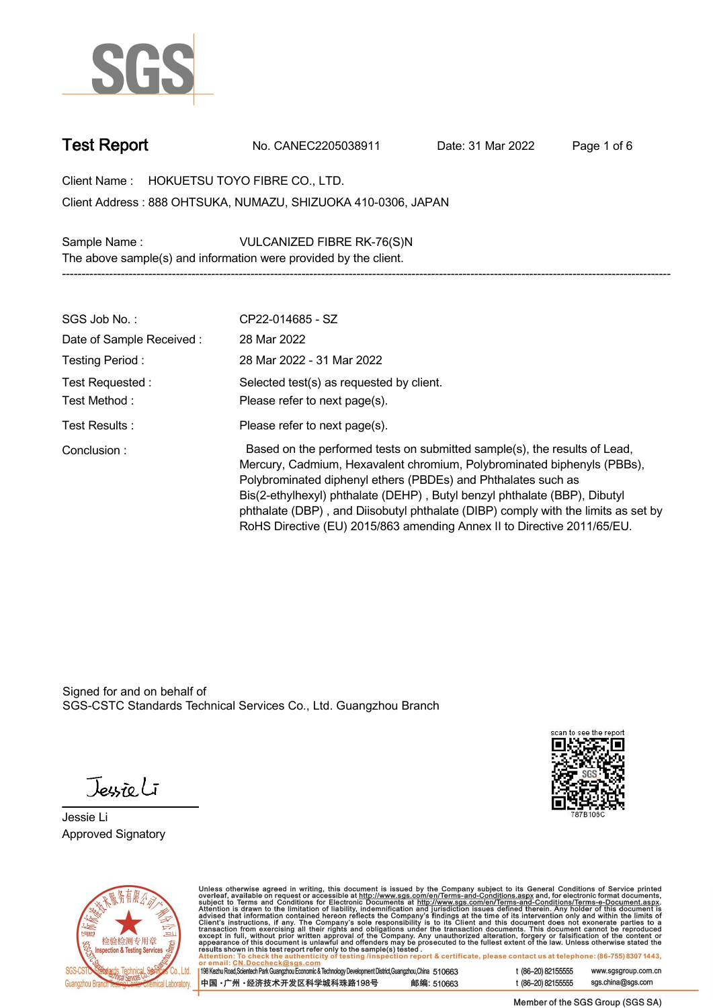

**Test Report. No. CANEC2205038911 . Date: 31 Mar 2022 . Page 1 of 6.**

**Client Name : HOKUETSU TOYO FIBRE CO., LTD. .**

**888 OHTSUKA, NUMAZU, SHIZUOKA 410-0306, JAPAN . Client Address :**

**Sample Name : VULCANIZED FIBRE RK-76(S)N . The above sample(s) and information were provided by the client.**

| SGS Job No.:                     | CP22-014685 - SZ                                                                                                                                                                                                                                                                                                                                                                                                                                                   |
|----------------------------------|--------------------------------------------------------------------------------------------------------------------------------------------------------------------------------------------------------------------------------------------------------------------------------------------------------------------------------------------------------------------------------------------------------------------------------------------------------------------|
| Date of Sample Received:         | 28 Mar 2022                                                                                                                                                                                                                                                                                                                                                                                                                                                        |
| Testing Period:                  | 28 Mar 2022 - 31 Mar 2022                                                                                                                                                                                                                                                                                                                                                                                                                                          |
| Test Requested :<br>Test Method: | Selected test(s) as requested by client.<br>Please refer to next page(s).                                                                                                                                                                                                                                                                                                                                                                                          |
| Test Results:                    | Please refer to next page(s).                                                                                                                                                                                                                                                                                                                                                                                                                                      |
| Conclusion:                      | Based on the performed tests on submitted sample(s), the results of Lead,<br>Mercury, Cadmium, Hexavalent chromium, Polybrominated biphenyls (PBBs),<br>Polybrominated diphenyl ethers (PBDEs) and Phthalates such as<br>Bis(2-ethylhexyl) phthalate (DEHP), Butyl benzyl phthalate (BBP), Dibutyl<br>phthalate (DBP), and Diisobutyl phthalate (DIBP) comply with the limits as set by<br>RoHS Directive (EU) 2015/863 amending Annex II to Directive 2011/65/EU. |

**-----------------------------------------------------------------------------------------------------------------------------------------------------------**

Signed for and on behalf of SGS-CSTC Standards Technical Services Co., Ltd. Guangzhou Branch.

Jessieli

**Jessie Li. Approved Signatory .**





Unless otherwise agreed in writing, this document is issued by the Company subject to its General Conditions of Service printed<br>overleaf, available on request or accessible at http://www.sgs.com/en/Terms-and-Conditions.as

| 198 Kezhu Road, Scientech Park Guangzhou Economic & Technology Development District, Guangzhou, China 510663 |            |
|--------------------------------------------------------------------------------------------------------------|------------|
| 中国 •广州 •经济技术开发区科学城科珠路198号                                                                                    | 邮编: 510663 |

t (86-20) 82155555 www.sgsgroup.com.cn sgs.china@sgs.com t (86-20) 82155555

Member of the SGS Group (SGS SA)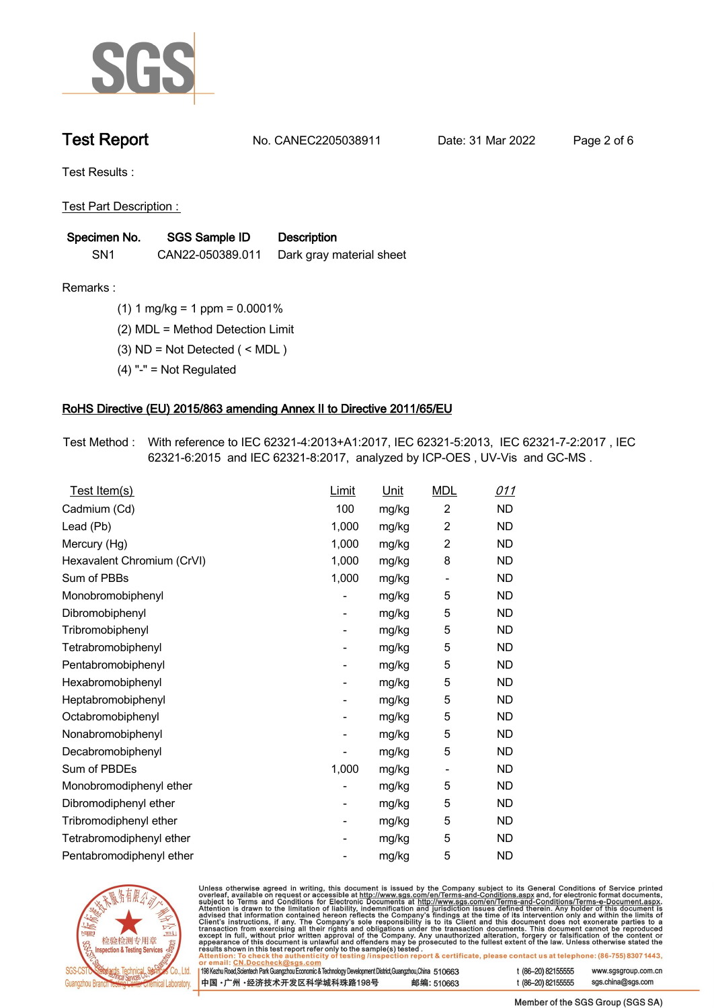

**Test Report. No. CANEC2205038911 . Date: 31 Mar 2022 . Page 2 of 6.**

**Test Results :.**

**Test Part Description : .**

| Specimen No.    | SGS Sample ID    | <b>Description</b>       |
|-----------------|------------------|--------------------------|
| SN <sub>1</sub> | CAN22-050389.011 | Dark gray material sheet |

**Remarks :.(1) 1 mg/kg = 1 ppm = 0.0001% .**

**(2) MDL = Method Detection Limit .**

**(3) ND = Not Detected ( < MDL ) .**

**(4) "-" = Not Regulated .**

## **RoHS Directive (EU) 2015/863 amending Annex II to Directive 2011/65/EU.**

**Test Method :. With reference to IEC 62321-4:2013+A1:2017, IEC 62321-5:2013, IEC 62321-7-2:2017 , IEC 62321-6:2015 and IEC 62321-8:2017, analyzed by ICP-OES , UV-Vis and GC-MS . .**

| Test Item(s)               | Limit | <u>Unit</u> | <b>MDL</b>                   | <u>011</u> |
|----------------------------|-------|-------------|------------------------------|------------|
| Cadmium (Cd)               | 100   | mg/kg       | $\overline{c}$               | <b>ND</b>  |
| Lead (Pb)                  | 1,000 | mg/kg       | $\overline{2}$               | <b>ND</b>  |
| Mercury (Hg)               | 1,000 | mg/kg       | $\overline{2}$               | <b>ND</b>  |
| Hexavalent Chromium (CrVI) | 1,000 | mg/kg       | 8                            | <b>ND</b>  |
| Sum of PBBs                | 1,000 | mg/kg       | $\qquad \qquad \blacksquare$ | <b>ND</b>  |
| Monobromobiphenyl          |       | mg/kg       | 5                            | <b>ND</b>  |
| Dibromobiphenyl            | -     | mg/kg       | 5                            | <b>ND</b>  |
| Tribromobiphenyl           | -     | mg/kg       | 5                            | <b>ND</b>  |
| Tetrabromobiphenyl         |       | mg/kg       | 5                            | <b>ND</b>  |
| Pentabromobiphenyl         | -     | mg/kg       | 5                            | <b>ND</b>  |
| Hexabromobiphenyl          |       | mg/kg       | 5                            | <b>ND</b>  |
| Heptabromobiphenyl         | -     | mg/kg       | 5                            | <b>ND</b>  |
| Octabromobiphenyl          | -     | mg/kg       | 5                            | <b>ND</b>  |
| Nonabromobiphenyl          |       | mg/kg       | 5                            | <b>ND</b>  |
| Decabromobiphenyl          |       | mg/kg       | 5                            | <b>ND</b>  |
| Sum of PBDEs               | 1,000 | mg/kg       | $\qquad \qquad \blacksquare$ | <b>ND</b>  |
| Monobromodiphenyl ether    |       | mg/kg       | 5                            | <b>ND</b>  |
| Dibromodiphenyl ether      | ۰     | mg/kg       | 5                            | <b>ND</b>  |
| Tribromodiphenyl ether     | -     | mg/kg       | 5                            | <b>ND</b>  |
| Tetrabromodiphenyl ether   |       | mg/kg       | 5                            | <b>ND</b>  |
| Pentabromodiphenyl ether   |       | mg/kg       | 5                            | <b>ND</b>  |



Unless otherwise agreed in writing, this document is issued by the Company subject to its General Conditions of Service printed overleaf, available on request or accessible at http://www.sgs.com/en/Terms-and-Conditions.as

| or email: CN.Doccheck@sgs.com                                                                                |            |                    |                     |
|--------------------------------------------------------------------------------------------------------------|------------|--------------------|---------------------|
| 198 Kezhu Road, Scientech Park Guangzhou Economic & Technology Development District, Guangzhou, China 510663 |            | t (86-20) 82155555 | www.sgsgroup.com.cr |
| ┃中国 •广州 •经济技术开发区科学城科珠路198号 ↓                                                                                 | 邮编: 510663 | t (86-20) 82155555 | sgs.china@sgs.com   |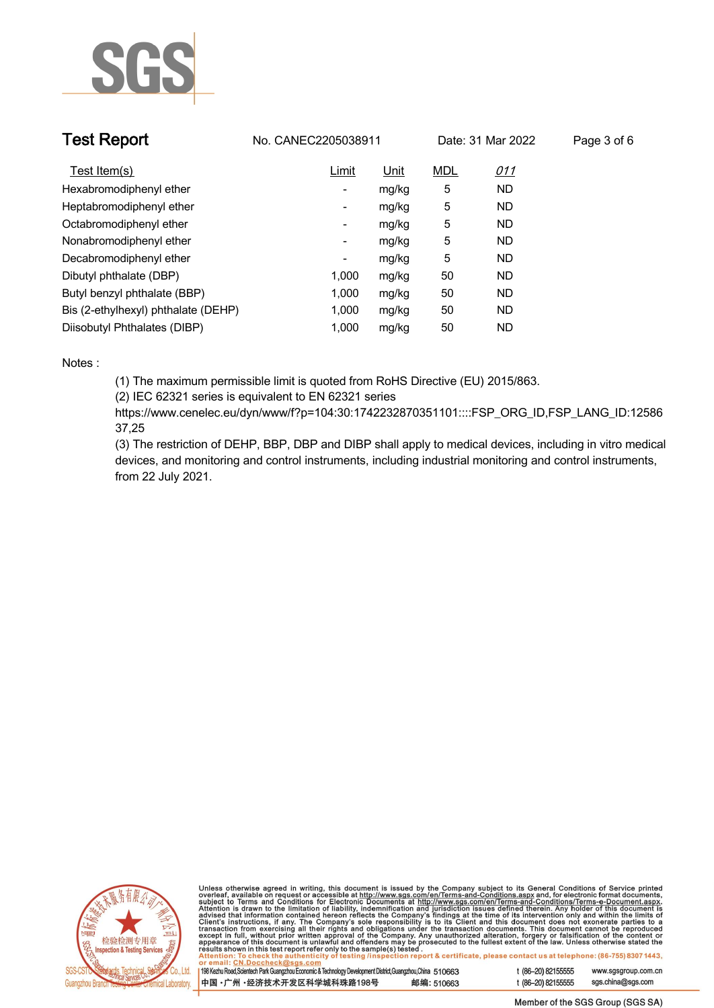

| <b>Test Report</b>                  | No. CANEC2205038911 |             |            | Date: 31 Mar 2022 | Page 3 of 6 |
|-------------------------------------|---------------------|-------------|------------|-------------------|-------------|
| Test Item(s)                        | Limit               | <u>Unit</u> | <b>MDL</b> | <u>011</u>        |             |
| Hexabromodiphenyl ether             | ۰.                  | mg/kg       | 5          | <b>ND</b>         |             |
| Heptabromodiphenyl ether            | Ξ.                  | mg/kg       | 5          | <b>ND</b>         |             |
| Octabromodiphenyl ether             | Ξ.                  | mg/kg       | 5          | <b>ND</b>         |             |
| Nonabromodiphenyl ether             | -                   | mg/kg       | 5          | <b>ND</b>         |             |
| Decabromodiphenyl ether             | -                   | mg/kg       | 5          | ND                |             |
| Dibutyl phthalate (DBP)             | 1.000               | mg/kg       | 50         | <b>ND</b>         |             |
| Butyl benzyl phthalate (BBP)        | 1.000               | mg/kg       | 50         | <b>ND</b>         |             |
| Bis (2-ethylhexyl) phthalate (DEHP) | 1.000               | mg/kg       | 50         | <b>ND</b>         |             |
| Diisobutyl Phthalates (DIBP)        | 1.000               | mg/kg       | 50         | <b>ND</b>         |             |

### **Notes :.**

**(1) The maximum permissible limit is quoted from RoHS Directive (EU) 2015/863.**

**(2) IEC 62321 series is equivalent to EN 62321 series**

**https://www.cenelec.eu/dyn/www/f?p=104:30:1742232870351101::::FSP\_ORG\_ID,FSP\_LANG\_ID:12586 37,25**

**(3) The restriction of DEHP, BBP, DBP and DIBP shall apply to medical devices, including in vitro medical devices, and monitoring and control instruments, including industrial monitoring and control instruments, from 22 July 2021..**



Unless otherwise agreed in writing, this document is issued by the Company subject to its General Conditions of Service printed<br>overleaf, available on request or accessible at http://www.sgs.com/en/Terms-and-Conditions.as

| 198 Kezhu Road,Scientech Park Guangzhou Economic & Technology Development District,Guangzhou,China   51 O663 |            |  |
|--------------------------------------------------------------------------------------------------------------|------------|--|
| 中国 •广州 •经济技术开发区科学城科珠路198号                                                                                    | 邮编: 510663 |  |

www.sgsgroup.com.cn

t (86-20) 82155555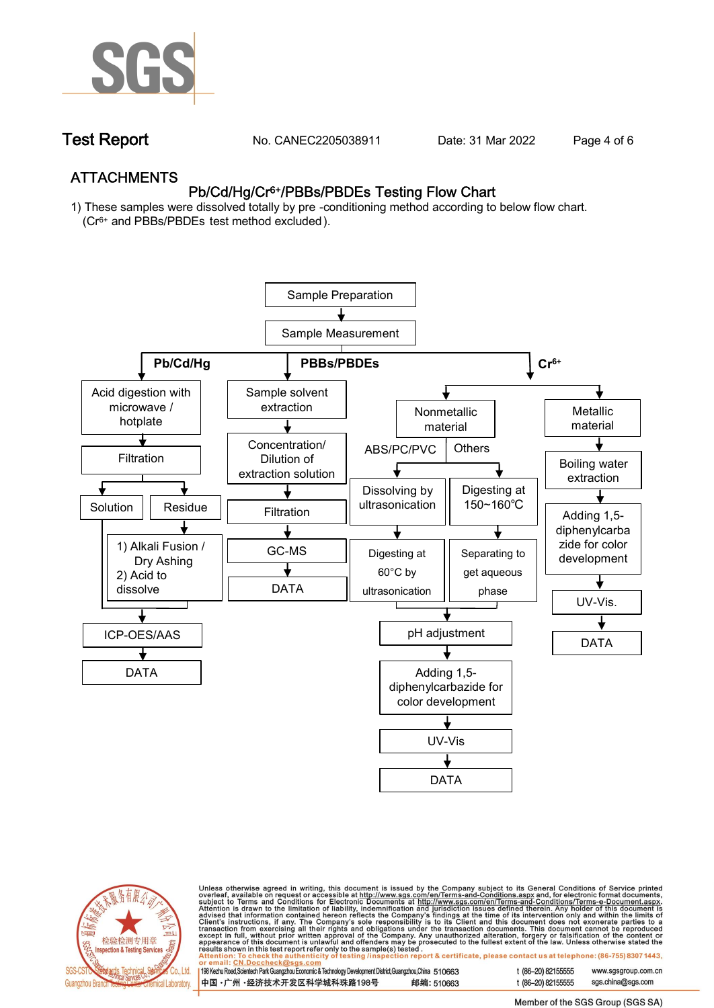

**Test Report. No. CANEC2205038911 . Date: 31 Mar 2022 . Page 4 of 6.**

## **ATTACHMENTS Pb/Cd/Hg/Cr6+/PBBs/PBDEs Testing Flow Chart**

**1) These samples were dissolved totally by pre -conditioning method according to below flow chart. (Cr6+ and PBBs/PBDEs test method excluded ).**





Unless otherwise agreed in writing, this document is issued by the Company subject to its General Conditions of Service printed<br>overleaf, available on request or accessible at http://www.sgs.com/en/Terms-and-Conditions.as

| 198 Kezhu Road,Scientech Park Guangzhou Economic & Technology Development District,Guangzhou,China 510663 |            |
|-----------------------------------------------------------------------------------------------------------|------------|
| 中国 •广州 •经济技术开发区科学城科珠路198号                                                                                 | 邮编: 510663 |

t (86-20) 82155555 www.sgsgroup.com.cn t (86-20) 82155555 sas.china@sas.com

Member of the SGS Group (SGS SA)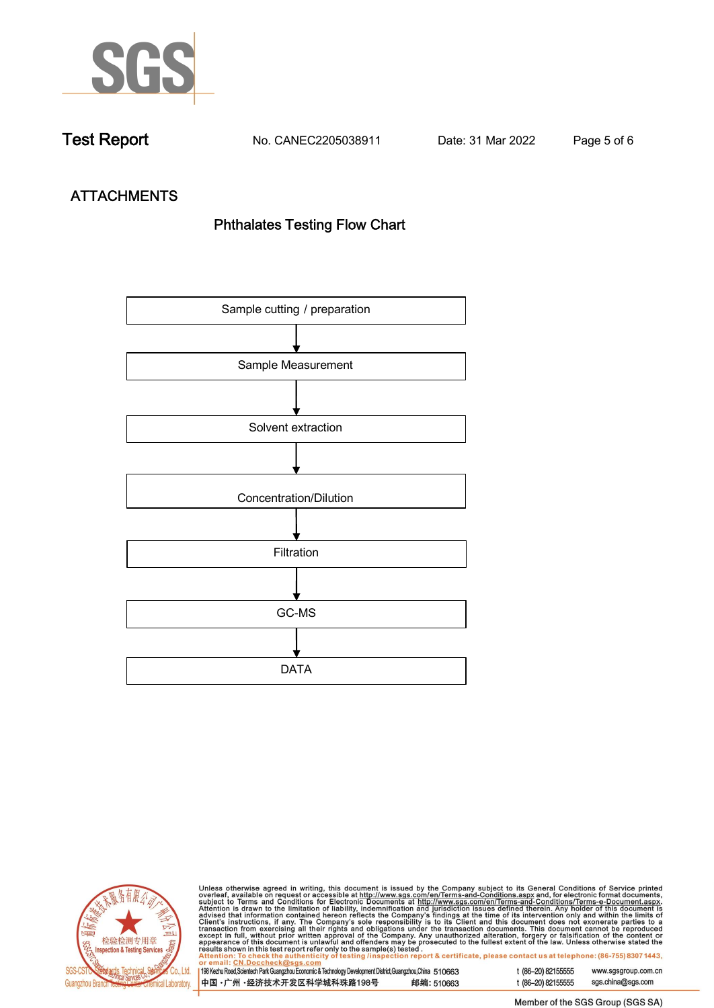

**Test Report. No. CANEC2205038911 . Date: 31 Mar 2022 . Page 5 of 6.**

# **ATTACHMENTS Phthalates Testing Flow Chart**





Unless otherwise agreed in writing, this document is issued by the Company subject to its General Conditions of Service printed<br>overleaf, available on request or accessible at http://www.sgs.com/en/Terms-and-Conditions.as

| 198 Kezhu Road,Scientech Park Guangzhou Economic & Technology Development District,Guangzhou,China 510663 |            |
|-----------------------------------------------------------------------------------------------------------|------------|
| 中国・广州 ・经济技术开发区科学城科珠路198号                                                                                  | 邮编: 510663 |

t (86-20) 82155555 sgs.china@sgs.com

www.sgsgroup.com.cn

t (86-20) 82155555